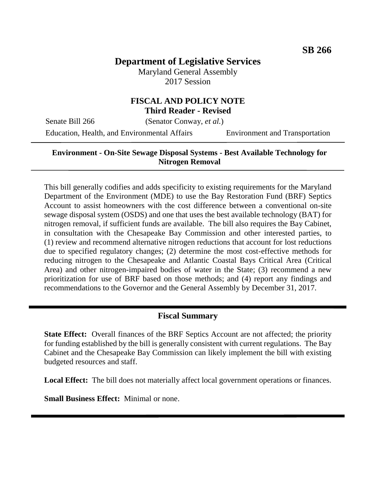# **Department of Legislative Services**

Maryland General Assembly 2017 Session

# **FISCAL AND POLICY NOTE Third Reader - Revised**

Senate Bill 266 (Senator Conway, *et al.*)

Education, Health, and Environmental Affairs Environment and Transportation

### **Environment - On-Site Sewage Disposal Systems - Best Available Technology for Nitrogen Removal**

This bill generally codifies and adds specificity to existing requirements for the Maryland Department of the Environment (MDE) to use the Bay Restoration Fund (BRF) Septics Account to assist homeowners with the cost difference between a conventional on-site sewage disposal system (OSDS) and one that uses the best available technology (BAT) for nitrogen removal, if sufficient funds are available. The bill also requires the Bay Cabinet, in consultation with the Chesapeake Bay Commission and other interested parties, to (1) review and recommend alternative nitrogen reductions that account for lost reductions due to specified regulatory changes; (2) determine the most cost-effective methods for reducing nitrogen to the Chesapeake and Atlantic Coastal Bays Critical Area (Critical Area) and other nitrogen-impaired bodies of water in the State; (3) recommend a new prioritization for use of BRF based on those methods; and (4) report any findings and recommendations to the Governor and the General Assembly by December 31, 2017.

# **Fiscal Summary**

**State Effect:** Overall finances of the BRF Septics Account are not affected; the priority for funding established by the bill is generally consistent with current regulations. The Bay Cabinet and the Chesapeake Bay Commission can likely implement the bill with existing budgeted resources and staff.

**Local Effect:** The bill does not materially affect local government operations or finances.

**Small Business Effect:** Minimal or none.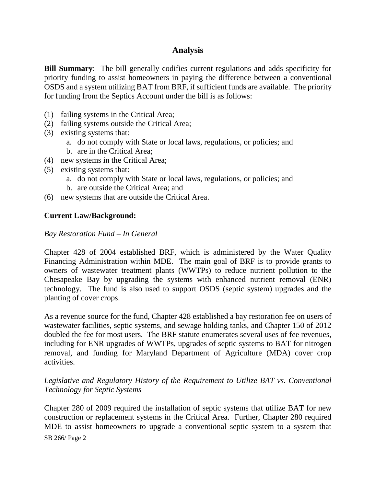# **Analysis**

**Bill Summary:** The bill generally codifies current regulations and adds specificity for priority funding to assist homeowners in paying the difference between a conventional OSDS and a system utilizing BAT from BRF, if sufficient funds are available. The priority for funding from the Septics Account under the bill is as follows:

- (1) failing systems in the Critical Area;
- (2) failing systems outside the Critical Area;
- (3) existing systems that:
	- a. do not comply with State or local laws, regulations, or policies; and
	- b. are in the Critical Area;
- (4) new systems in the Critical Area;
- (5) existing systems that:
	- a. do not comply with State or local laws, regulations, or policies; and
	- b. are outside the Critical Area; and
- (6) new systems that are outside the Critical Area.

# **Current Law/Background:**

#### *Bay Restoration Fund – In General*

Chapter 428 of 2004 established BRF, which is administered by the Water Quality Financing Administration within MDE. The main goal of BRF is to provide grants to owners of wastewater treatment plants (WWTPs) to reduce nutrient pollution to the Chesapeake Bay by upgrading the systems with enhanced nutrient removal (ENR) technology. The fund is also used to support OSDS (septic system) upgrades and the planting of cover crops.

As a revenue source for the fund, Chapter 428 established a bay restoration fee on users of wastewater facilities, septic systems, and sewage holding tanks, and Chapter 150 of 2012 doubled the fee for most users. The BRF statute enumerates several uses of fee revenues, including for ENR upgrades of WWTPs, upgrades of septic systems to BAT for nitrogen removal, and funding for Maryland Department of Agriculture (MDA) cover crop activities.

# *Legislative and Regulatory History of the Requirement to Utilize BAT vs. Conventional Technology for Septic Systems*

Chapter 280 of 2009 required the installation of septic systems that utilize BAT for new construction or replacement systems in the Critical Area. Further, Chapter 280 required MDE to assist homeowners to upgrade a conventional septic system to a system that

SB 266/ Page 2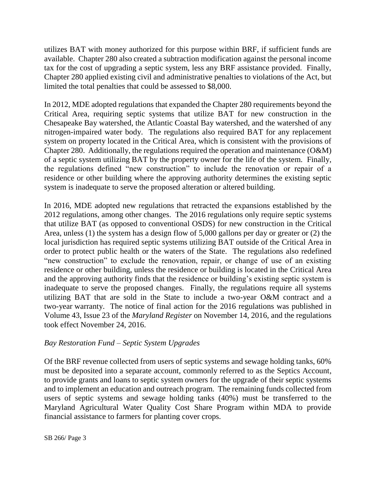utilizes BAT with money authorized for this purpose within BRF, if sufficient funds are available. Chapter 280 also created a subtraction modification against the personal income tax for the cost of upgrading a septic system, less any BRF assistance provided. Finally, Chapter 280 applied existing civil and administrative penalties to violations of the Act, but limited the total penalties that could be assessed to \$8,000.

In 2012, MDE adopted regulations that expanded the Chapter 280 requirements beyond the Critical Area, requiring septic systems that utilize BAT for new construction in the Chesapeake Bay watershed, the Atlantic Coastal Bay watershed, and the watershed of any nitrogen-impaired water body. The regulations also required BAT for any replacement system on property located in the Critical Area, which is consistent with the provisions of Chapter 280. Additionally, the regulations required the operation and maintenance (O&M) of a septic system utilizing BAT by the property owner for the life of the system. Finally, the regulations defined "new construction" to include the renovation or repair of a residence or other building where the approving authority determines the existing septic system is inadequate to serve the proposed alteration or altered building.

In 2016, MDE adopted new regulations that retracted the expansions established by the 2012 regulations, among other changes. The 2016 regulations only require septic systems that utilize BAT (as opposed to conventional OSDS) for new construction in the Critical Area, unless (1) the system has a design flow of 5,000 gallons per day or greater or (2) the local jurisdiction has required septic systems utilizing BAT outside of the Critical Area in order to protect public health or the waters of the State. The regulations also redefined "new construction" to exclude the renovation, repair, or change of use of an existing residence or other building, unless the residence or building is located in the Critical Area and the approving authority finds that the residence or building's existing septic system is inadequate to serve the proposed changes. Finally, the regulations require all systems utilizing BAT that are sold in the State to include a two-year O&M contract and a two-year warranty. The notice of final action for the 2016 regulations was published in Volume 43, Issue 23 of the *Maryland Register* on November 14, 2016, and the regulations took effect November 24, 2016.

# *Bay Restoration Fund – Septic System Upgrades*

Of the BRF revenue collected from users of septic systems and sewage holding tanks, 60% must be deposited into a separate account, commonly referred to as the Septics Account, to provide grants and loans to septic system owners for the upgrade of their septic systems and to implement an education and outreach program. The remaining funds collected from users of septic systems and sewage holding tanks (40%) must be transferred to the Maryland Agricultural Water Quality Cost Share Program within MDA to provide financial assistance to farmers for planting cover crops.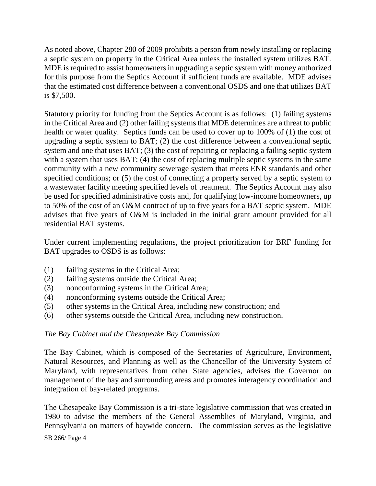As noted above, Chapter 280 of 2009 prohibits a person from newly installing or replacing a septic system on property in the Critical Area unless the installed system utilizes BAT. MDE is required to assist homeowners in upgrading a septic system with money authorized for this purpose from the Septics Account if sufficient funds are available. MDE advises that the estimated cost difference between a conventional OSDS and one that utilizes BAT is \$7,500.

Statutory priority for funding from the Septics Account is as follows: (1) failing systems in the Critical Area and (2) other failing systems that MDE determines are a threat to public health or water quality. Septics funds can be used to cover up to 100% of (1) the cost of upgrading a septic system to BAT; (2) the cost difference between a conventional septic system and one that uses BAT; (3) the cost of repairing or replacing a failing septic system with a system that uses BAT; (4) the cost of replacing multiple septic systems in the same community with a new community sewerage system that meets ENR standards and other specified conditions; or (5) the cost of connecting a property served by a septic system to a wastewater facility meeting specified levels of treatment. The Septics Account may also be used for specified administrative costs and, for qualifying low-income homeowners, up to 50% of the cost of an O&M contract of up to five years for a BAT septic system. MDE advises that five years of O&M is included in the initial grant amount provided for all residential BAT systems.

Under current implementing regulations, the project prioritization for BRF funding for BAT upgrades to OSDS is as follows:

- (1) failing systems in the Critical Area;
- (2) failing systems outside the Critical Area;
- (3) nonconforming systems in the Critical Area;
- (4) nonconforming systems outside the Critical Area;
- (5) other systems in the Critical Area, including new construction; and
- (6) other systems outside the Critical Area, including new construction.

# *The Bay Cabinet and the Chesapeake Bay Commission*

The Bay Cabinet, which is composed of the Secretaries of Agriculture, Environment, Natural Resources, and Planning as well as the Chancellor of the University System of Maryland, with representatives from other State agencies, advises the Governor on management of the bay and surrounding areas and promotes interagency coordination and integration of bay-related programs.

The Chesapeake Bay Commission is a tri-state legislative commission that was created in 1980 to advise the members of the General Assemblies of Maryland, Virginia, and Pennsylvania on matters of baywide concern. The commission serves as the legislative